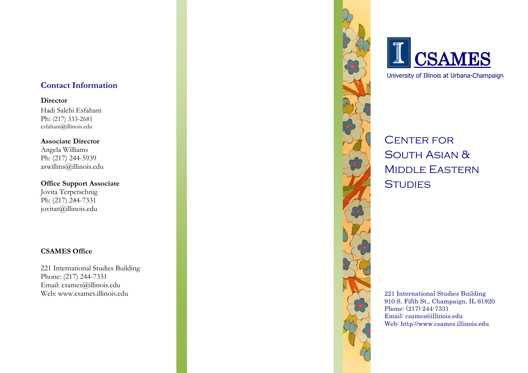# **Contact Information**

**Director** Hadi Salehi Esfahani Ph: (217) 333 -2681 esfahani@illinois.edu

**Associate Director** Angela Williams Ph: (217) 244 -5939 aswillms@illinois.edu

**Office Support Associate** Jovita Terpetschnig Ph: (217) 244 -7331 jovitat@illinois.edu

# **CSAMES Office**

221 International Studies Building Phone: (217) 244 -7331 Email: csames@illinois.edu Web: www.csames.illinois.edu





University of Illinois at Urbana -Champaign

**CENTER FOR** SOUTH ASIAN & Middle Eastern **STUDIES** 

221 International Studies Building 910 S. Fifth St., Champaign, IL 61820 Phone: (217) 244 -7331 Email: csames@illinois.edu Web: http://www.csames.illinois.edu